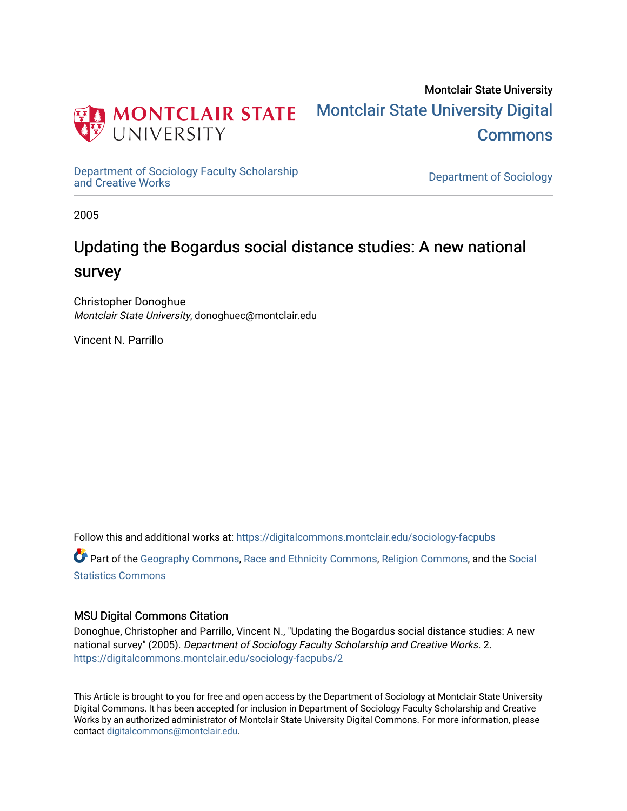

Montclair State University [Montclair State University Digital](https://digitalcommons.montclair.edu/)  **Commons** 

[Department of Sociology Faculty Scholarship](https://digitalcommons.montclair.edu/sociology-facpubs)

Department of Sociology

2005

# Updating the Bogardus social distance studies: A new national survey

Christopher Donoghue Montclair State University, donoghuec@montclair.edu

Vincent N. Parrillo

Follow this and additional works at: [https://digitalcommons.montclair.edu/sociology-facpubs](https://digitalcommons.montclair.edu/sociology-facpubs?utm_source=digitalcommons.montclair.edu%2Fsociology-facpubs%2F2&utm_medium=PDF&utm_campaign=PDFCoverPages)

Part of the [Geography Commons,](http://network.bepress.com/hgg/discipline/354?utm_source=digitalcommons.montclair.edu%2Fsociology-facpubs%2F2&utm_medium=PDF&utm_campaign=PDFCoverPages) [Race and Ethnicity Commons,](http://network.bepress.com/hgg/discipline/426?utm_source=digitalcommons.montclair.edu%2Fsociology-facpubs%2F2&utm_medium=PDF&utm_campaign=PDFCoverPages) [Religion Commons](http://network.bepress.com/hgg/discipline/538?utm_source=digitalcommons.montclair.edu%2Fsociology-facpubs%2F2&utm_medium=PDF&utm_campaign=PDFCoverPages), and the [Social](http://network.bepress.com/hgg/discipline/1275?utm_source=digitalcommons.montclair.edu%2Fsociology-facpubs%2F2&utm_medium=PDF&utm_campaign=PDFCoverPages) [Statistics Commons](http://network.bepress.com/hgg/discipline/1275?utm_source=digitalcommons.montclair.edu%2Fsociology-facpubs%2F2&utm_medium=PDF&utm_campaign=PDFCoverPages)

### MSU Digital Commons Citation

Donoghue, Christopher and Parrillo, Vincent N., "Updating the Bogardus social distance studies: A new national survey" (2005). Department of Sociology Faculty Scholarship and Creative Works. 2. [https://digitalcommons.montclair.edu/sociology-facpubs/2](https://digitalcommons.montclair.edu/sociology-facpubs/2?utm_source=digitalcommons.montclair.edu%2Fsociology-facpubs%2F2&utm_medium=PDF&utm_campaign=PDFCoverPages) 

This Article is brought to you for free and open access by the Department of Sociology at Montclair State University Digital Commons. It has been accepted for inclusion in Department of Sociology Faculty Scholarship and Creative Works by an authorized administrator of Montclair State University Digital Commons. For more information, please contact [digitalcommons@montclair.edu](mailto:digitalcommons@montclair.edu).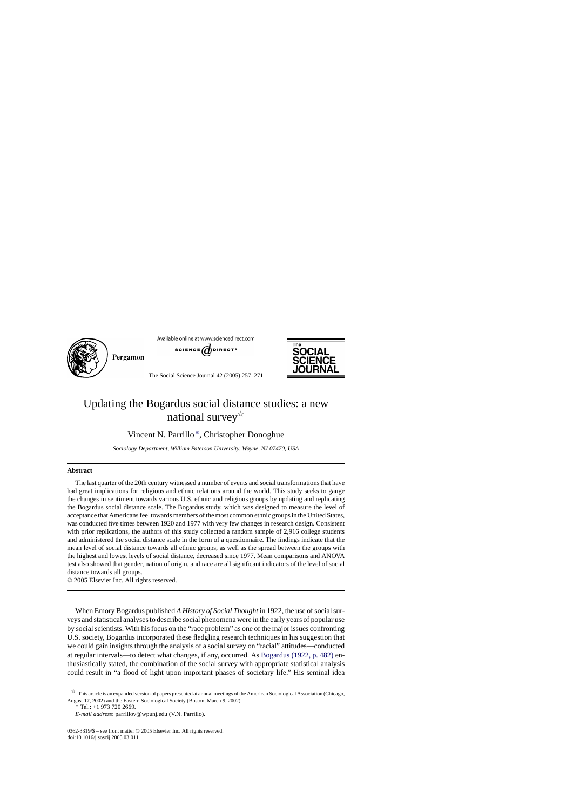

Pergamon





The Social Science Journal 42 (2005) 257–271

## Updating the Bogardus social distance studies: a new national survey  $\overrightarrow{x}$

Vincent N. Parrillo ∗, Christopher Donoghue

*Sociology Department, William Paterson University, Wayne, NJ 07470, USA*

#### **Abstract**

The last quarter of the 20th century witnessed a number of events and social transformations that have had great implications for religious and ethnic relations around the world. This study seeks to gauge the changes in sentiment towards various U.S. ethnic and religious groups by updating and replicating the Bogardus social distance scale. The Bogardus study, which was designed to measure the level of acceptance that Americans feel towards members of the most common ethnic groups in the United States, was conducted five times between 1920 and 1977 with very few changes in research design. Consistent with prior replications, the authors of this study collected a random sample of 2,916 college students and administered the social distance scale in the form of a questionnaire. The findings indicate that the mean level of social distance towards all ethnic groups, as well as the spread between the groups with the highest and lowest levels of social distance, decreased since 1977. Mean comparisons and ANOVA test also showed that gender, nation of origin, and race are all significant indicators of the level of social distance towards all groups.

© 2005 Elsevier Inc. All rights reserved.

When Emory Bogardus published *A History of Social Thought* in 1922, the use of social surveys and statistical analyses to describe social phenomena were in the early years of popular use by social scientists. With his focus on the "race problem" as one of the major issues confronting U.S. society, Bogardus incorporated these fledgling research techniques in his suggestion that we could gain insights through the analysis of a social survey on "racial" attitudes—conducted at regular intervals—to detect what changes, if any, occurred. As [Bogardus \(1922, p. 482\)](#page-13-0) enthusiastically stated, the combination of the social survey with appropriate statistical analysis could result in "a flood of light upon important phases of societary life." His seminal idea

<sup>∗</sup> Tel.: +1 973 720 2669.

 $\overrightarrow{x}$  This article is an expanded version of papers presented at annual meetings of the American Sociological Association (Chicago, August 17, 2002) and the Eastern Sociological Society (Boston, March 9, 2002).

*E-mail address*: parrillov@wpunj.edu (V.N. Parrillo).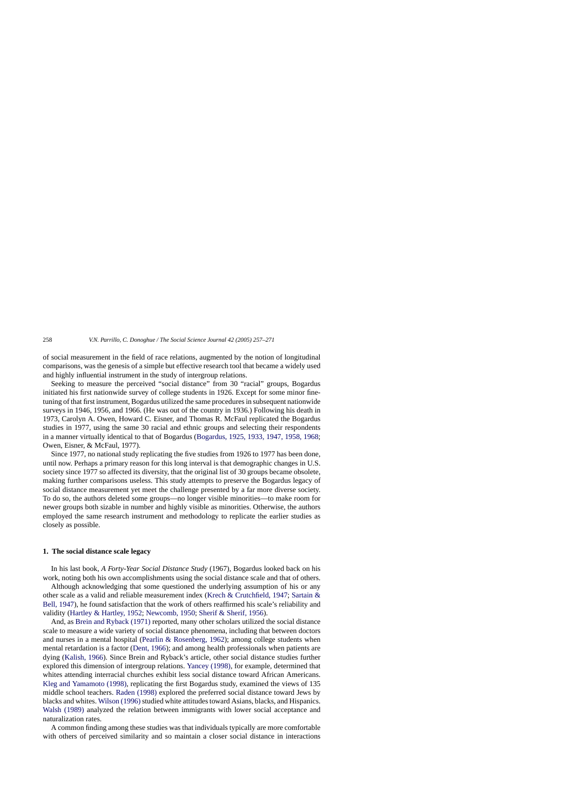of social measurement in the field of race relations, augmented by the notion of longitudinal comparisons, was the genesis of a simple but effective research tool that became a widely used and highly influential instrument in the study of intergroup relations.

Seeking to measure the perceived "social distance" from 30 "racial" groups, Bogardus initiated his first nationwide survey of college students in 1926. Except for some minor finetuning of that first instrument, Bogardus utilized the same procedures in subsequent nationwide surveys in 1946, 1956, and 1966. (He was out of the country in 1936.) Following his death in 1973, Carolyn A. Owen, Howard C. Eisner, and Thomas R. McFaul replicated the Bogardus studies in 1977, using the same 30 racial and ethnic groups and selecting their respondents in a manner virtually identical to that of Bogardus [\(Bogardus, 1925, 1933, 1947, 1958, 1968;](#page-13-0) Owen, Eisner, & McFaul, 1977).

Since 1977, no national study replicating the five studies from 1926 to 1977 has been done, until now. Perhaps a primary reason for this long interval is that demographic changes in U.S. society since 1977 so affected its diversity, that the original list of 30 groups became obsolete, making further comparisons useless. This study attempts to preserve the Bogardus legacy of social distance measurement yet meet the challenge presented by a far more diverse society. To do so, the authors deleted some groups—no longer visible minorities—to make room for newer groups both sizable in number and highly visible as minorities. Otherwise, the authors employed the same research instrument and methodology to replicate the earlier studies as closely as possible.

#### **1. The social distance scale legacy**

In his last book, *A Forty-Year Social Distance Study* (1967), Bogardus looked back on his work, noting both his own accomplishments using the social distance scale and that of others.

Although acknowledging that some questioned the underlying assumption of his or any other scale as a valid and reliable measurement index ([Krech & Crutchfield, 1947;](#page-14-0) [Sartain &](#page-14-0) [Bell, 1947\),](#page-14-0) he found satisfaction that the work of others reaffirmed his scale's reliability and validity ([Hartley & Hartley, 1952;](#page-14-0) [Newcomb, 1950;](#page-14-0) [Sherif & Sherif, 1956\).](#page-14-0)

And, as [Brein and Ryback \(1971\)](#page-13-0) reported, many other scholars utilized the social distance scale to measure a wide variety of social distance phenomena, including that between doctors and nurses in a mental hospital ([Pearlin & Rosenberg, 1962\)](#page-14-0); among college students when mental retardation is a factor [\(Dent, 1966\);](#page-13-0) and among health professionals when patients are dying [\(Kalish, 1966\).](#page-14-0) Since Brein and Ryback's article, other social distance studies further explored this dimension of intergroup relations. [Yancey \(1998\),](#page-15-0) for example, determined that whites attending interracial churches exhibit less social distance toward African Americans. [Kleg and Yamamoto \(1998\),](#page-14-0) replicating the first Bogardus study, examined the views of 135 middle school teachers. [Raden \(1998\)](#page-14-0) explored the preferred social distance toward Jews by blacks and whites. Wilson (1996) studied white attitudes toward Asians, blacks, and Hispanics. [Walsh \(1989\)](#page-14-0) analyzed the relation between immigrants with lower social acceptance and naturalization rates.

A common finding among these studies was that individuals typically are more comfortable with others of perceived similarity and so maintain a closer social distance in interactions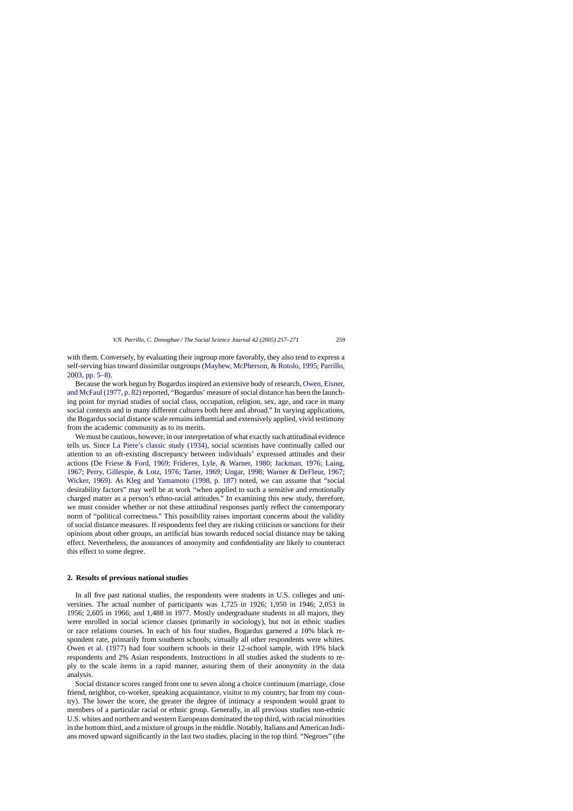with them. Conversely, by evaluating their ingroup more favorably, they also tend to express a self-serving bias toward dissimilar outgroups ([Mayhew, McPherson, & Rotolo, 1995;](#page-14-0) [Parrillo,](#page-14-0) [2003, pp. 5–8\).](#page-14-0)

Because the work begun by Bogardus inspired an extensive body of research, [Owen, Eisner,](#page-14-0) [and McFaul \(1977, p. 82\)](#page-14-0) reported, "Bogardus' measure of social distance has been the launching point for myriad studies of social class, occupation, religion, sex, age, and race in many social contexts and in many different cultures both here and abroad." In varying applications, the Bogardus social distance scale remains influential and extensively applied, vivid testimony from the academic community as to its merits.

We must be cautious, however, in our interpretation of what exactly such attitudinal evidence tells us. Since [La Piere's classic study \(1934\),](#page-14-0) social scientists have continually called our attention to an oft-existing discrepancy between individuals' expressed attitudes and their actions ([De Friese & Ford, 1969](#page-13-0); [Frideres, Lyle, & Warner, 1980](#page-13-0); [Jackman, 1976; Laing,](#page-14-0) [1967;](#page-14-0) [Perry, Gillespie, & Lotz, 1976;](#page-14-0) [Tarter, 1969; Ungar, 1998;](#page-14-0) [Warner & DeFleur, 1967;](#page-14-0) [Wicker, 1969\)](#page-14-0). As [Kleg and Yamamoto \(1998, p. 187\)](#page-14-0) noted, we can assume that "social desirability factors" may well be at work "when applied to such a sensitive and emotionally charged matter as a person's ethno-racial attitudes." In examining this new study, therefore, we must consider whether or not these attitudinal responses partly reflect the contemporary norm of "political correctness." This possibility raises important concerns about the validity of social distance measures. If respondents feel they are risking criticism or sanctions for their opinions about other groups, an artificial bias towards reduced social distance may be taking effect. Nevertheless, the assurances of anonymity and confidentiality are likely to counteract this effect to some degree.

#### **2. Results of previous national studies**

In all five past national studies, the respondents were students in U.S. colleges and universities. The actual number of participants was 1,725 in 1926; 1,950 in 1946; 2,053 in 1956; 2,605 in 1966; and 1,488 in 1977. Mostly undergraduate students in all majors, they were enrolled in social science classes (primarily in sociology), but not in ethnic studies or race relations courses. In each of his four studies, Bogardus garnered a 10% black respondent rate, primarily from southern schools; virtually all other respondents were whites. [Owen et al. \(1977\)](#page-14-0) had four southern schools in their 12-school sample, with 19% black respondents and 2% Asian respondents. Instructions in all studies asked the students to reply to the scale items in a rapid manner, assuring them of their anonymity in the data analysis.

Social distance scores ranged from one to seven along a choice continuum (marriage, close friend, neighbor, co-worker, speaking acquaintance, visitor to my country, bar from my country). The lower the score, the greater the degree of intimacy a respondent would grant to members of a particular racial or ethnic group. Generally, in all previous studies non-ethnic U.S. whites and northern and western Europeans dominated the top third, with racial minorities in the bottom third, and a mixture of groups in the middle. Notably, Italians and American Indians moved upward significantly in the last two studies, placing in the top third. "Negroes" (the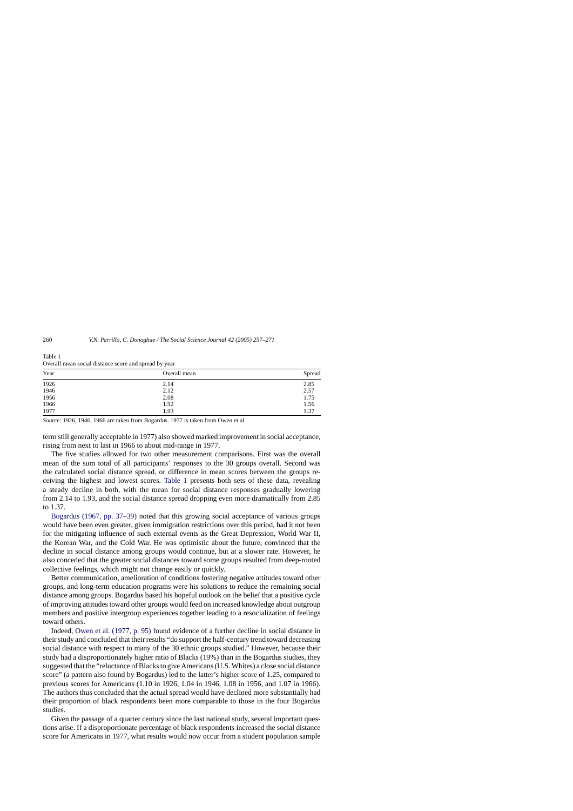| Year | <u>.</u><br>Overall mean | Spread |
|------|--------------------------|--------|
| 1926 | 2.14                     | 2.85   |
| 1946 | 2.12                     | 2.57   |
| 1956 | 2.08                     | 1.75   |
| 1966 | 1.92                     | 1.56   |
| 1977 | 1.93                     | 1.37   |

Table 1 Overall mean social distance score and spread by year

*Source*: 1926, 1946, 1966 are taken from Bogardus. 1977 is taken from Owen et al.

term still generally acceptable in 1977) also showed marked improvement in social acceptance, rising from next to last in 1966 to about mid-range in 1977.

The five studies allowed for two other measurement comparisons. First was the overall mean of the sum total of all participants' responses to the 30 groups overall. Second was the calculated social distance spread, or difference in mean scores between the groups receiving the highest and lowest scores. Table 1 presents both sets of these data, revealing a steady decline in both, with the mean for social distance responses gradually lowering from 2.14 to 1.93, and the social distance spread dropping even more dramatically from 2.85 to 1.37.

[Bogardus \(1967, pp. 37–39\)](#page-13-0) noted that this growing social acceptance of various groups would have been even greater, given immigration restrictions over this period, had it not been for the mitigating influence of such external events as the Great Depression, World War II, the Korean War, and the Cold War. He was optimistic about the future, convinced that the decline in social distance among groups would continue, but at a slower rate. However, he also conceded that the greater social distances toward some groups resulted from deep-rooted collective feelings, which might not change easily or quickly.

Better communication, amelioration of conditions fostering negative attitudes toward other groups, and long-term education programs were his solutions to reduce the remaining social distance among groups. Bogardus based his hopeful outlook on the belief that a positive cycle of improving attitudes toward other groups would feed on increased knowledge about outgroup members and positive intergroup experiences together leading to a resocialization of feelings toward others.

Indeed, [Owen et al. \(1977, p. 95\)](#page-14-0) found evidence of a further decline in social distance in their study and concluded that their results "do support the half-century trend toward decreasing social distance with respect to many of the 30 ethnic groups studied." However, because their study had a disproportionately higher ratio of Blacks (19%) than in the Bogardus studies, they suggested that the "reluctance of Blacks to give Americans (U.S. Whites) a close social distance score" (a pattern also found by Bogardus) led to the latter's higher score of 1.25, compared to previous scores for Americans (1.10 in 1926, 1.04 in 1946, 1.08 in 1956, and 1.07 in 1966). The authors thus concluded that the actual spread would have declined more substantially had their proportion of black respondents been more comparable to those in the four Bogardus studies.

Given the passage of a quarter century since the last national study, several important questions arise. If a disproportionate percentage of black respondents increased the social distance score for Americans in 1977, what results would now occur from a student population sample

<span id="page-4-0"></span>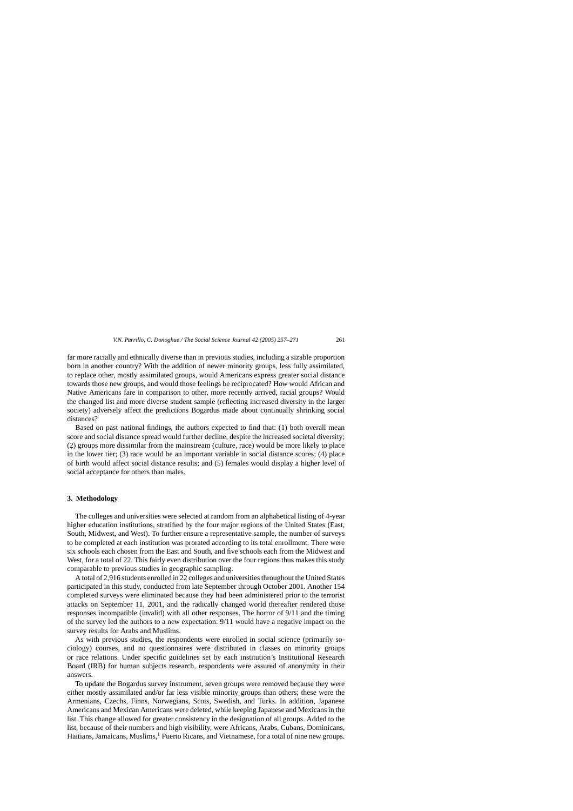far more racially and ethnically diverse than in previous studies, including a sizable proportion born in another country? With the addition of newer minority groups, less fully assimilated, to replace other, mostly assimilated groups, would Americans express greater social distance towards those new groups, and would those feelings be reciprocated? How would African and Native Americans fare in comparison to other, more recently arrived, racial groups? Would the changed list and more diverse student sample (reflecting increased diversity in the larger society) adversely affect the predictions Bogardus made about continually shrinking social distances?

Based on past national findings, the authors expected to find that: (1) both overall mean score and social distance spread would further decline, despite the increased societal diversity; (2) groups more dissimilar from the mainstream (culture, race) would be more likely to place in the lower tier; (3) race would be an important variable in social distance scores; (4) place of birth would affect social distance results; and (5) females would display a higher level of social acceptance for others than males.

#### **3. Methodology**

The colleges and universities were selected at random from an alphabetical listing of 4-year higher education institutions, stratified by the four major regions of the United States (East, South, Midwest, and West). To further ensure a representative sample, the number of surveys to be completed at each institution was prorated according to its total enrollment. There were six schools each chosen from the East and South, and five schools each from the Midwest and West, for a total of 22. This fairly even distribution over the four regions thus makes this study comparable to previous studies in geographic sampling.

A total of 2,916 students enrolled in 22 colleges and universities throughout the United States participated in this study, conducted from late September through October 2001. Another 154 completed surveys were eliminated because they had been administered prior to the terrorist attacks on September 11, 2001, and the radically changed world thereafter rendered those responses incompatible (invalid) with all other responses. The horror of 9/11 and the timing of the survey led the authors to a new expectation: 9/11 would have a negative impact on the survey results for Arabs and Muslims.

As with previous studies, the respondents were enrolled in social science (primarily sociology) courses, and no questionnaires were distributed in classes on minority groups or race relations. Under specific guidelines set by each institution's Institutional Research Board (IRB) for human subjects research, respondents were assured of anonymity in their answers.

To update the Bogardus survey instrument, seven groups were removed because they were either mostly assimilated and/or far less visible minority groups than others; these were the Armenians, Czechs, Finns, Norwegians, Scots, Swedish, and Turks. In addition, Japanese Americans and Mexican Americans were deleted, while keeping Japanese and Mexicans in the list. This change allowed for greater consistency in the designation of all groups. Added to the list, because of their numbers and high visibility, were Africans, Arabs, Cubans, Dominicans, Haitians, Jamaicans, Muslims,<sup>1</sup> Puerto Ricans, and Vietnamese, for a total of nine new groups.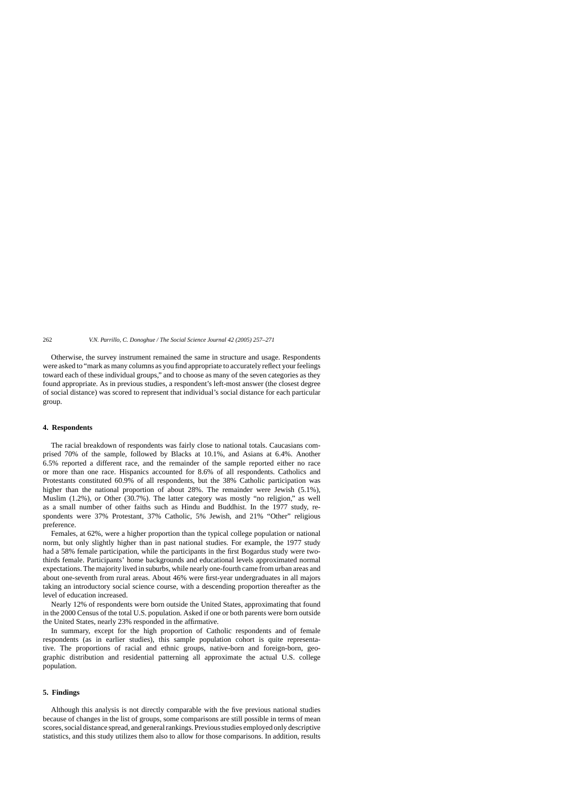Otherwise, the survey instrument remained the same in structure and usage. Respondents were asked to "mark as many columns as you find appropriate to accurately reflect your feelings toward each of these individual groups," and to choose as many of the seven categories as they found appropriate. As in previous studies, a respondent's left-most answer (the closest degree of social distance) was scored to represent that individual's social distance for each particular group.

#### **4. Respondents**

The racial breakdown of respondents was fairly close to national totals. Caucasians comprised 70% of the sample, followed by Blacks at 10.1%, and Asians at 6.4%. Another 6.5% reported a different race, and the remainder of the sample reported either no race or more than one race. Hispanics accounted for 8.6% of all respondents. Catholics and Protestants constituted 60.9% of all respondents, but the 38% Catholic participation was higher than the national proportion of about 28%. The remainder were Jewish (5.1%), Muslim (1.2%), or Other (30.7%). The latter category was mostly "no religion," as well as a small number of other faiths such as Hindu and Buddhist. In the 1977 study, respondents were 37% Protestant, 37% Catholic, 5% Jewish, and 21% "Other" religious preference.

Females, at 62%, were a higher proportion than the typical college population or national norm, but only slightly higher than in past national studies. For example, the 1977 study had a 58% female participation, while the participants in the first Bogardus study were twothirds female. Participants' home backgrounds and educational levels approximated normal expectations. The majority lived in suburbs, while nearly one-fourth came from urban areas and about one-seventh from rural areas. About 46% were first-year undergraduates in all majors taking an introductory social science course, with a descending proportion thereafter as the level of education increased.

Nearly 12% of respondents were born outside the United States, approximating that found in the 2000 Census of the total U.S. population. Asked if one or both parents were born outside the United States, nearly 23% responded in the affirmative.

In summary, except for the high proportion of Catholic respondents and of female respondents (as in earlier studies), this sample population cohort is quite representative. The proportions of racial and ethnic groups, native-born and foreign-born, geographic distribution and residential patterning all approximate the actual U.S. college population.

#### **5. Findings**

Although this analysis is not directly comparable with the five previous national studies because of changes in the list of groups, some comparisons are still possible in terms of mean scores, social distance spread, and general rankings. Previous studies employed only descriptive statistics, and this study utilizes them also to allow for those comparisons. In addition, results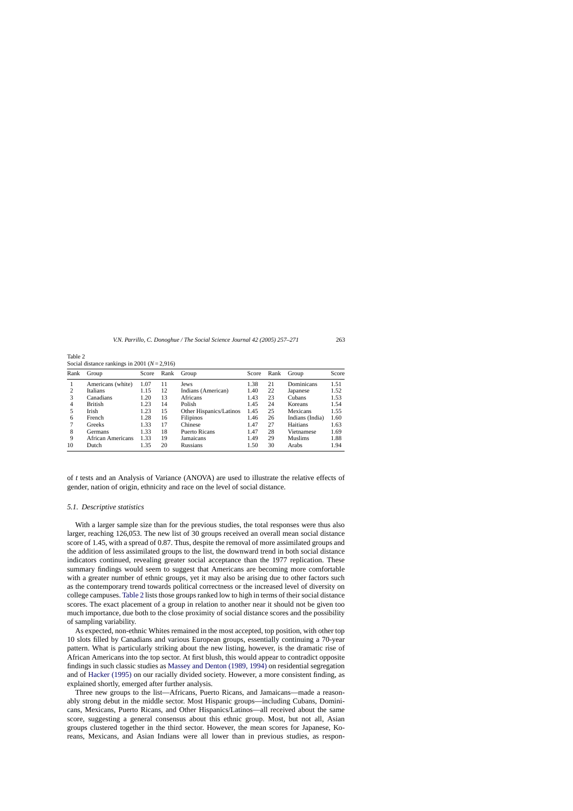| Rank | Group                    | Score | Rank | Group                   | Score | Rank | Group           | Score |
|------|--------------------------|-------|------|-------------------------|-------|------|-----------------|-------|
|      | Americans (white)        | 1.07  | 11   | Jews                    | 1.38  | 21   | Dominicans      | 1.51  |
| 2    | Italians                 | 1.15  | 12   | Indians (American)      | 1.40  | 22   | Japanese        | 1.52  |
| 3    | Canadians                | 1.20  | 13   | Africans                | 1.43  | 23   | Cubans          | 1.53  |
| 4    | <b>British</b>           | 1.23  | 14   | Polish                  | 1.45  | 24   | Koreans         | 1.54  |
| 5    | Irish                    | 1.23  | 15   | Other Hispanics/Latinos | 1.45  | 25   | Mexicans        | 1.55  |
| 6    | French                   | 1.28  | 16   | Filipinos               | 1.46  | 26   | Indians (India) | 1.60  |
|      | Greeks                   | 1.33  | 17   | Chinese                 | 1.47  | 27   | Haitians        | 1.63  |
| 8    | Germans                  | 1.33  | 18   | Puerto Ricans           | 1.47  | 28   | Vietnamese      | 1.69  |
| 9    | <b>African Americans</b> | 1.33  | 19   | Jamaicans               | 1.49  | 29   | <b>Muslims</b>  | 1.88  |
| 10   | Dutch                    | 1.35  | 20   | <b>Russians</b>         | 1.50  | 30   | Arabs           | 1.94  |

<span id="page-7-0"></span>Table 2 Social distance rankings in 2001 (*N*= 2,916)

of *t* tests and an Analysis of Variance (ANOVA) are used to illustrate the relative effects of gender, nation of origin, ethnicity and race on the level of social distance.

#### *5.1. Descriptive statistics*

With a larger sample size than for the previous studies, the total responses were thus also larger, reaching 126,053. The new list of 30 groups received an overall mean social distance score of 1.45, with a spread of 0.87. Thus, despite the removal of more assimilated groups and the addition of less assimilated groups to the list, the downward trend in both social distance indicators continued, revealing greater social acceptance than the 1977 replication. These summary findings would seem to suggest that Americans are becoming more comfortable with a greater number of ethnic groups, yet it may also be arising due to other factors such as the contemporary trend towards political correctness or the increased level of diversity on college campuses. Table 2 lists those groups ranked low to high in terms of their social distance scores. The exact placement of a group in relation to another near it should not be given too much importance, due both to the close proximity of social distance scores and the possibility of sampling variability.

As expected, non-ethnic Whites remained in the most accepted, top position, with other top 10 slots filled by Canadians and various European groups, essentially continuing a 70-year pattern. What is particularly striking about the new listing, however, is the dramatic rise of African Americans into the top sector. At first blush, this would appear to contradict opposite findings in such classic studies as [Massey and Denton \(1989, 1994\)](#page-14-0) on residential segregation and of [Hacker \(1995\)](#page-13-0) on our racially divided society. However, a more consistent finding, as explained shortly, emerged after further analysis.

Three new groups to the list—Africans, Puerto Ricans, and Jamaicans—made a reasonably strong debut in the middle sector. Most Hispanic groups—including Cubans, Dominicans, Mexicans, Puerto Ricans, and Other Hispanics/Latinos—all received about the same score, suggesting a general consensus about this ethnic group. Most, but not all, Asian groups clustered together in the third sector. However, the mean scores for Japanese, Koreans, Mexicans, and Asian Indians were all lower than in previous studies, as respon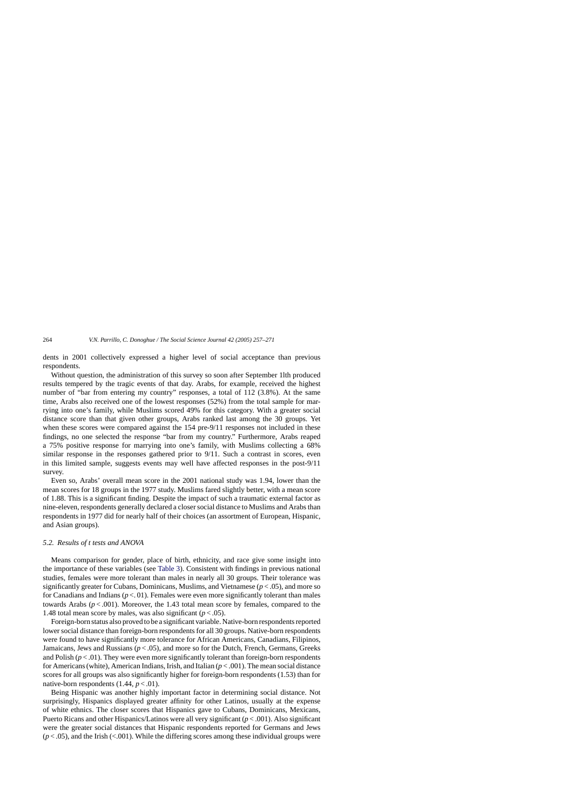dents in 2001 collectively expressed a higher level of social acceptance than previous respondents.

Without question, the administration of this survey so soon after September 1lth produced results tempered by the tragic events of that day. Arabs, for example, received the highest number of "bar from entering my country" responses, a total of 112 (3.8%). At the same time, Arabs also received one of the lowest responses (52%) from the total sample for marrying into one's family, while Muslims scored 49% for this category. With a greater social distance score than that given other groups, Arabs ranked last among the 30 groups. Yet when these scores were compared against the 154 pre-9/11 responses not included in these findings, no one selected the response "bar from my country." Furthermore, Arabs reaped a 75% positive response for marrying into one's family, with Muslims collecting a 68% similar response in the responses gathered prior to 9/11. Such a contrast in scores, even in this limited sample, suggests events may well have affected responses in the post-9/11 survey.

Even so, Arabs' overall mean score in the 2001 national study was 1.94, lower than the mean scores for 18 groups in the 1977 study. Muslims fared slightly better, with a mean score of 1.88. This is a significant finding. Despite the impact of such a traumatic external factor as nine-eleven, respondents generally declared a closer social distance to Muslims and Arabs than respondents in 1977 did for nearly half of their choices (an assortment of European, Hispanic, and Asian groups).

#### *5.2. Results of t tests and ANOVA*

Means comparison for gender, place of birth, ethnicity, and race give some insight into the importance of these variables (see [Table 3\).](#page-9-0) Consistent with findings in previous national studies, females were more tolerant than males in nearly all 30 groups. Their tolerance was significantly greater for Cubans, Dominicans, Muslims, and Vietnamese  $(p < .05)$ , and more so for Canadians and Indians  $(p < 01)$ . Females were even more significantly tolerant than males towards Arabs  $(p < .001)$ . Moreover, the 1.43 total mean score by females, compared to the 1.48 total mean score by males, was also significant  $(p < .05)$ .

Foreign-born status also proved to be a significant variable. Native-born respondents reported lower social distance than foreign-born respondents for all 30 groups. Native-born respondents were found to have significantly more tolerance for African Americans, Canadians, Filipinos, Jamaicans, Jews and Russians  $(p < .05)$ , and more so for the Dutch, French, Germans, Greeks and Polish ( $p < 0.01$ ). They were even more significantly tolerant than foreign-born respondents for Americans (white), American Indians, Irish, and Italian  $(p < .001)$ . The mean social distance scores for all groups was also significantly higher for foreign-born respondents (1.53) than for native-born respondents  $(1.44, p < .01)$ .

Being Hispanic was another highly important factor in determining social distance. Not surprisingly, Hispanics displayed greater affinity for other Latinos, usually at the expense of white ethnics. The closer scores that Hispanics gave to Cubans, Dominicans, Mexicans, Puerto Ricans and other Hispanics/Latinos were all very significant (*p* < .001). Also significant were the greater social distances that Hispanic respondents reported for Germans and Jews  $(p < .05)$ , and the Irish (<.001). While the differing scores among these individual groups were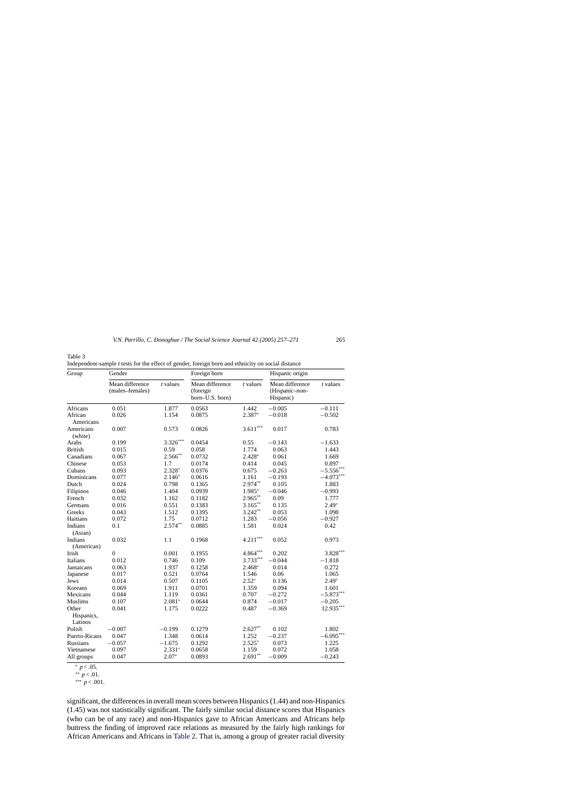<span id="page-9-0"></span>Table 3

Independent-sample *t* tests for the effect of gender, foreign born and ethnicity on social distance

| Group                 | Gender                             |            | Foreign born                                   |            | Hispanic origin                                |             |  |
|-----------------------|------------------------------------|------------|------------------------------------------------|------------|------------------------------------------------|-------------|--|
|                       | Mean difference<br>(males-females) | $t$ values | Mean difference<br>(foreign<br>born-U.S. born) | $t$ values | Mean difference<br>(Hispanic-non-<br>Hispanic) | $t$ values  |  |
| <b>Africans</b>       | 0.051                              | 1.877      | 0.0563                                         | 1.442      | $-0.005$                                       | $-0.111$    |  |
| African<br>Americans  | 0.026                              | 1.154      | 0.0875                                         | 2.387*     | $-0.018$                                       | $-0.502$    |  |
| Americans<br>(white)  | 0.007                              | 0.573      | 0.0826                                         | $3.611***$ | 0.017                                          | 0.783       |  |
| Arabs                 | 0.199                              | $3.326***$ | 0.0454                                         | 0.55       | $-0.143$                                       | $-1.633$    |  |
| <b>British</b>        | 0.015                              | 0.59       | 0.058                                          | 1.774      | 0.063                                          | 1.443       |  |
| Canadians             | 0.067                              | $2.566**$  | 0.0732                                         | 2.428*     | 0.061                                          | 1.669       |  |
| Chinese               | 0.053                              | 1.7        | 0.0174                                         | 0.414      | 0.045                                          | 0.897       |  |
| Cubans                | 0.093                              | 2.328*     | 0.0376                                         | 0.675      | $-0.263$                                       | $-5.556***$ |  |
| Dominicans            | 0.077                              | $2.146*$   | 0.0616                                         | 1.161      | $-0.193$                                       | $-4.073**$  |  |
| Dutch                 | 0.024                              | 0.798      | 0.1365                                         | $2.974**$  | 0.105                                          | 1.883       |  |
| Filipinos             | 0.046                              | 1.404      | 0.0939                                         | 1.985*     | $-0.046$                                       | $-0.993$    |  |
| French                | 0.032                              | 1.162      | 0.1182                                         | $2.965***$ | 0.09                                           | 1.777       |  |
| Germans               | 0.016                              | 0.551      | 0.1383                                         | $3.165***$ | 0.135                                          | $2.49*$     |  |
| Greeks                | 0.043                              | 1.512      | 0.1395                                         | $3.242**$  | 0.053                                          | 1.098       |  |
| Haitians              | 0.072                              | 1.75       | 0.0712                                         | 1.283      | $-0.056$                                       | $-0.927$    |  |
| Indians               | 0.1                                | $2.574***$ | 0.0885                                         | 1.581      | 0.024                                          | 0.42        |  |
| (Asian)               |                                    |            |                                                |            |                                                |             |  |
| Indians               | 0.032                              | 1.1        | 0.1968                                         | $4.211***$ | 0.052                                          | 0.973       |  |
| (American)            |                                    |            |                                                |            |                                                |             |  |
| Irish                 | $\overline{0}$                     | 0.001      | 0.1955                                         | $4.864***$ | 0.202                                          | $3.828***$  |  |
| <b>Italians</b>       | 0.012                              | 0.746      | 0.109                                          | $3.733***$ | $-0.044$                                       | $-1.818$    |  |
| Jamaicans             | 0.063                              | 1.937      | 0.1258                                         | $2.468*$   | 0.014                                          | 0.272       |  |
| Japanese              | 0.017                              | 0.521      | 0.0764                                         | 1.546      | 0.06                                           | 1.065       |  |
| Jews                  | 0.014                              | 0.507      | 0.1105                                         | $2.52*$    | 0.136                                          | $2.49*$     |  |
| Koreans               | 0.069                              | 1.911      | 0.0701                                         | 1.359      | 0.094                                          | 1.601       |  |
| Mexicans              | 0.044                              | 1.119      | 0.0361                                         | 0.707      | $-0.272$                                       | $-5.873***$ |  |
| <b>Muslims</b>        | 0.107                              | $2.081*$   | 0.0644                                         | 0.874      | $-0.017$                                       | $-0.205$    |  |
| Other                 | 0.041                              | 1.175      | 0.0222                                         | 0.487      | $-0.369$                                       | $12.935***$ |  |
| Hispanics,<br>Latinos |                                    |            |                                                |            |                                                |             |  |
| Polish                | $-0.007$                           | $-0.199$   | 0.1279                                         | $2.627**$  | 0.102                                          | 1.802       |  |
| Puerto-Ricans         | 0.047                              | 1.348      | 0.0614                                         | 1.252      | $-0.237$                                       | $-6.095***$ |  |
| <b>Russians</b>       | $-0.057$                           | $-1.675$   | 0.1292                                         | $2.525*$   | 0.073                                          | 1.225       |  |
| Vietnamese            | 0.097                              | $2.331*$   | 0.0658                                         | 1.159      | 0.072                                          | 1.058       |  |
| All groups            | 0.047                              | $2.07*$    | 0.0893                                         | $2.691**$  | $-0.009$                                       | $-0.243$    |  |
|                       |                                    |            |                                                |            |                                                |             |  |

<sup>∗</sup> *p* < .05.

∗∗ *p* < .01.

∗∗∗ *p* < .001.

significant, the differences in overall mean scores between Hispanics (1.44) and non-Hispanics (1.45) was not statistically significant. The fairly similar social distance scores that Hispanics (who can be of any race) and non-Hispanics gave to African Americans and Africans help buttress the finding of improved race relations as measured by the fairly high rankings for African Americans and Africans in [Table 2. T](#page-7-0)hat is, among a group of greater racial diversity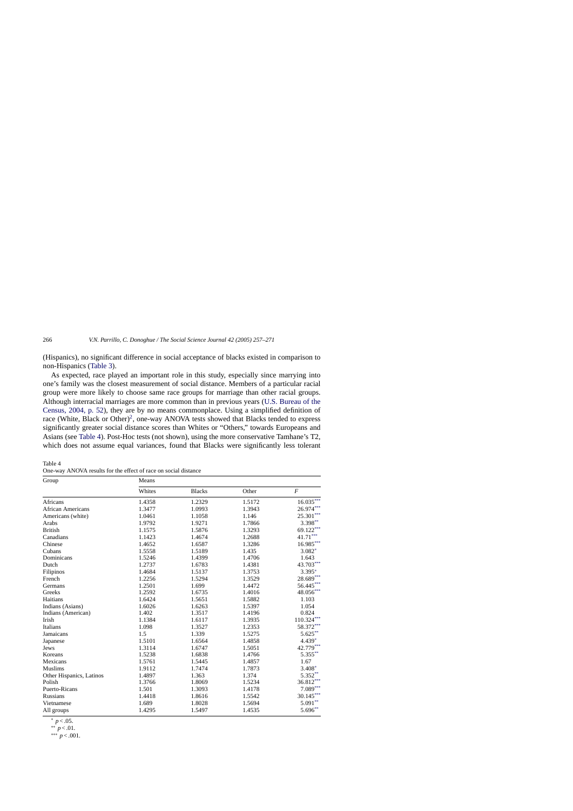(Hispanics), no significant difference in social acceptance of blacks existed in comparison to non-Hispanics ([Table 3\).](#page-9-0)

As expected, race played an important role in this study, especially since marrying into one's family was the closest measurement of social distance. Members of a particular racial group were more likely to choose same race groups for marriage than other racial groups. Although interracial marriages are more common than in previous years ([U.S. Bureau of the](#page-14-0) [Census, 2004, p. 52\)](#page-14-0), they are by no means commonplace. Using a simplified definition of race (White, Black or Other)<sup>2</sup>, one-way ANOVA tests showed that Blacks tended to express significantly greater social distance scores than Whites or "Others," towards Europeans and Asians (see Table 4). Post-Hoc tests (not shown), using the more conservative Tamhane's T2, which does not assume equal variances, found that Blacks were significantly less tolerant

| Table 4 |                                                                 |  |  |  |  |
|---------|-----------------------------------------------------------------|--|--|--|--|
|         | One-way ANOVA results for the effect of race on social distance |  |  |  |  |

| Group                    | Means  |               |        |                                 |
|--------------------------|--------|---------------|--------|---------------------------------|
|                          | Whites | <b>Blacks</b> | Other  | F                               |
| Africans                 | 1.4358 | 1.2329        | 1.5172 | $16.035***$                     |
| African Americans        | 1.3477 | 1.0993        | 1.3943 | 26.974***                       |
| Americans (white)        | 1.0461 | 1.1058        | 1.146  | $25.301***$                     |
| Arabs                    | 1.9792 | 1.9271        | 1.7866 | $3.398**$                       |
| <b>British</b>           | 1.1575 | 1.5876        | 1.3293 | 69.122***                       |
| Canadians                | 1.1423 | 1.4674        | 1.2688 | $\textbf{41.71}^{\ast\ast\ast}$ |
| Chinese                  | 1.4652 | 1.6587        | 1.3286 | $16.985***$                     |
| Cubans                   | 1.5558 | 1.5189        | 1.435  | $3.082*$                        |
| Dominicans               | 1.5246 | 1.4399        | 1.4706 | 1.643                           |
| Dutch                    | 1.2737 | 1.6783        | 1.4381 | $43.703***$                     |
| Filipinos                | 1.4684 | 1.5137        | 1.3753 | 3.395*                          |
| French                   | 1.2256 | 1.5294        | 1.3529 | 28.689***                       |
| Germans                  | 1.2501 | 1.699         | 1.4472 | 56.445***                       |
| Greeks                   | 1.2592 | 1.6735        | 1.4016 | $48.056***$                     |
| Haitians                 | 1.6424 | 1.5651        | 1.5882 | 1.103                           |
| Indians (Asians)         | 1.6026 | 1.6263        | 1.5397 | 1.054                           |
| Indians (American)       | 1.402  | 1.3517        | 1.4196 | 0.824                           |
| Irish                    | 1.1384 | 1.6117        | 1.3935 | $110.324***$                    |
| Italians                 | 1.098  | 1.3527        | 1.2353 | 58.372***                       |
| Jamaicans                | 1.5    | 1.339         | 1.5275 | $5.625***$                      |
| Japanese                 | 1.5101 | 1.6564        | 1.4858 | 4.439*                          |
| Jews                     | 1.3114 | 1.6747        | 1.5051 | $42.779***$                     |
| Koreans                  | 1.5238 | 1.6838        | 1.4766 | $5.355***$                      |
| Mexicans                 | 1.5761 | 1.5445        | 1.4857 | 1.67                            |
| <b>Muslims</b>           | 1.9112 | 1.7474        | 1.7873 | $3.408*$                        |
| Other Hispanics, Latinos | 1.4897 | 1.363         | 1.374  | $5.352**$                       |
| Polish                   | 1.3766 | 1.8069        | 1.5234 | $36.812***$                     |
| Puerto-Ricans            | 1.501  | 1.3093        | 1.4178 | $7.089***$                      |
| Russians                 | 1.4418 | 1.8616        | 1.5542 | $30.145***$                     |
| Vietnamese               | 1.689  | 1.8028        | 1.5694 | $5.091**$                       |
| All groups               | 1.4295 | 1.5497        | 1.4535 | $5.696**$                       |

<sup>∗</sup> *p* < .05.

∗∗∗ *p* < .001.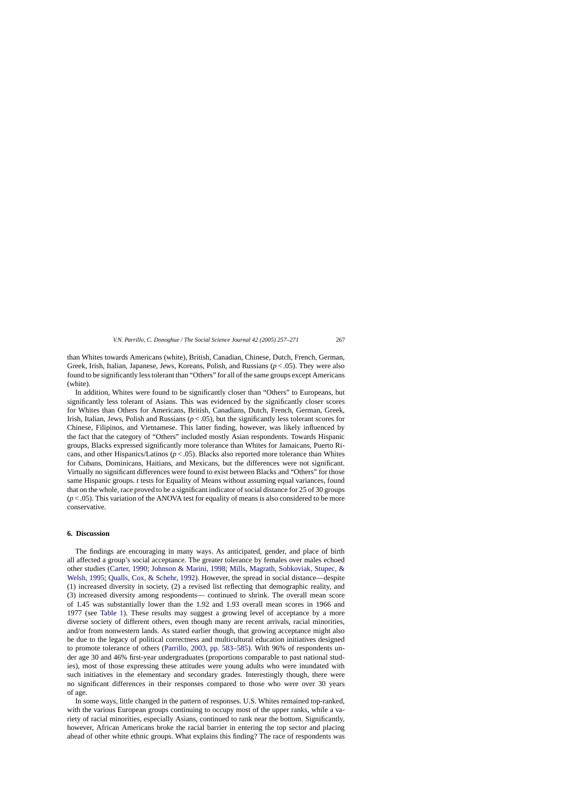than Whites towards Americans (white), British, Canadian, Chinese, Dutch, French, German, Greek, Irish, Italian, Japanese, Jews, Koreans, Polish, and Russians (*p* < .05). They were also found to be significantly less tolerant than "Others" for all of the same groups except Americans (white).

In addition, Whites were found to be significantly closer than "Others" to Europeans, but significantly less tolerant of Asians. This was evidenced by the significantly closer scores for Whites than Others for Americans, British, Canadians, Dutch, French, German, Greek, Irish, Italian, Jews, Polish and Russians  $(p < .05)$ , but the significantly less tolerant scores for Chinese, Filipinos, and Vietnamese. This latter finding, however, was likely influenced by the fact that the category of "Others" included mostly Asian respondents. Towards Hispanic groups, Blacks expressed significantly more tolerance than Whites for Jamaicans, Puerto Ricans, and other Hispanics/Latinos (*p* < .05). Blacks also reported more tolerance than Whites for Cubans, Dominicans, Haitians, and Mexicans, but the differences were not significant. Virtually no significant differences were found to exist between Blacks and "Others" for those same Hispanic groups. *t* tests for Equality of Means without assuming equal variances, found that on the whole, race proved to be a significant indicator of social distance for 25 of 30 groups  $(p < .05)$ . This variation of the ANOVA test for equality of means is also considered to be more conservative.

#### **6. Discussion**

The findings are encouraging in many ways. As anticipated, gender, and place of birth all affected a group's social acceptance. The greater tolerance by females over males echoed other studies ([Carter, 1990;](#page-13-0) [Johnson & Marini, 1998;](#page-14-0) [Mills, Magrath, Sobkoviak, Stupec, &](#page-14-0) [Welsh, 1995;](#page-14-0) [Qualls, Cox, & Schehr, 1992\).](#page-14-0) However, the spread in social distance—despite (1) increased diversity in society, (2) a revised list reflecting that demographic reality, and (3) increased diversity among respondents— continued to shrink. The overall mean score of 1.45 was substantially lower than the 1.92 and 1.93 overall mean scores in 1966 and 1977 (see [Table 1\)](#page-4-0). These results may suggest a growing level of acceptance by a more diverse society of different others, even though many are recent arrivals, racial minorities, and/or from nonwestern lands. As stated earlier though, that growing acceptance might also be due to the legacy of political correctness and multicultural education initiatives designed to promote tolerance of others ([Parrillo, 2003, pp. 583–585\)](#page-14-0). With 96% of respondents under age 30 and 46% first-year undergraduates (proportions comparable to past national studies), most of those expressing these attitudes were young adults who were inundated with such initiatives in the elementary and secondary grades. Interestingly though, there were no significant differences in their responses compared to those who were over 30 years of age.

In some ways, little changed in the pattern of responses. U.S. Whites remained top-ranked, with the various European groups continuing to occupy most of the upper ranks, while a variety of racial minorities, especially Asians, continued to rank near the bottom. Significantly, however, African Americans broke the racial barrier in entering the top sector and placing ahead of other white ethnic groups. What explains this finding? The race of respondents was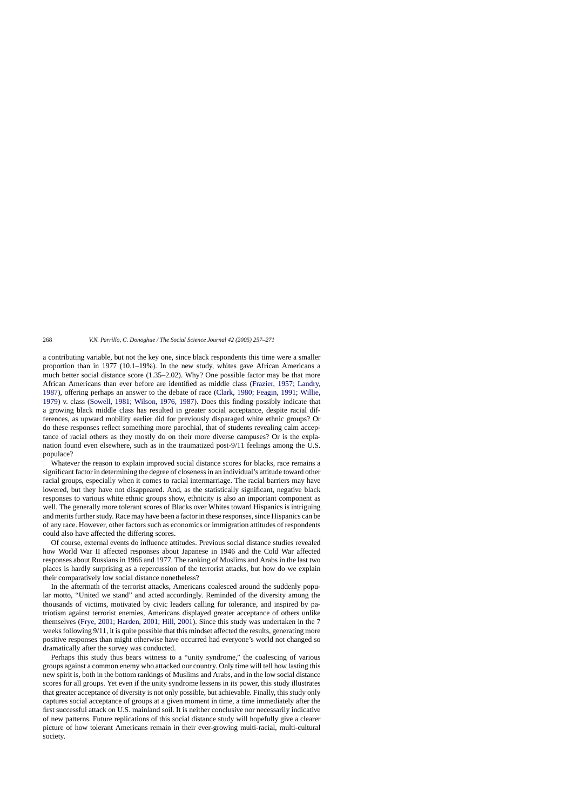a contributing variable, but not the key one, since black respondents this time were a smaller proportion than in 1977 (10.1–19%). In the new study, whites gave African Americans a much better social distance score (1.35–2.02). Why? One possible factor may be that more African Americans than ever before are identified as middle class ([Frazier, 1957; Landry,](#page-13-0) [1987\),](#page-13-0) offering perhaps an answer to the debate of race [\(Clark, 1980; Feagin, 1991; Willie,](#page-13-0) [1979\)](#page-13-0) v. class [\(Sowell, 1981; Wilson, 1976, 1987\)](#page-14-0). Does this finding possibly indicate that a growing black middle class has resulted in greater social acceptance, despite racial differences, as upward mobility earlier did for previously disparaged white ethnic groups? Or do these responses reflect something more parochial, that of students revealing calm acceptance of racial others as they mostly do on their more diverse campuses? Or is the explanation found even elsewhere, such as in the traumatized post-9/11 feelings among the U.S. populace?

Whatever the reason to explain improved social distance scores for blacks, race remains a significant factor in determining the degree of closeness in an individual's attitude toward other racial groups, especially when it comes to racial intermarriage. The racial barriers may have lowered, but they have not disappeared. And, as the statistically significant, negative black responses to various white ethnic groups show, ethnicity is also an important component as well. The generally more tolerant scores of Blacks over Whites toward Hispanics is intriguing and merits further study. Race may have been a factor in these responses, since Hispanics can be of any race. However, other factors such as economics or immigration attitudes of respondents could also have affected the differing scores.

Of course, external events do influence attitudes. Previous social distance studies revealed how World War II affected responses about Japanese in 1946 and the Cold War affected responses about Russians in 1966 and 1977. The ranking of Muslims and Arabs in the last two places is hardly surprising as a repercussion of the terrorist attacks, but how do we explain their comparatively low social distance nonetheless?

In the aftermath of the terrorist attacks, Americans coalesced around the suddenly popular motto, "United we stand" and acted accordingly. Reminded of the diversity among the thousands of victims, motivated by civic leaders calling for tolerance, and inspired by patriotism against terrorist enemies, Americans displayed greater acceptance of others unlike themselves [\(Frye, 2001; Harden, 2001; Hill, 2001\).](#page-13-0) Since this study was undertaken in the 7 weeks following 9/11, it is quite possible that this mindset affected the results, generating more positive responses than might otherwise have occurred had everyone's world not changed so dramatically after the survey was conducted.

Perhaps this study thus bears witness to a "unity syndrome," the coalescing of various groups against a common enemy who attacked our country. Only time will tell how lasting this new spirit is, both in the bottom rankings of Muslims and Arabs, and in the low social distance scores for all groups. Yet even if the unity syndrome lessens in its power, this study illustrates that greater acceptance of diversity is not only possible, but achievable. Finally, this study only captures social acceptance of groups at a given moment in time, a time immediately after the first successful attack on U.S. mainland soil. It is neither conclusive nor necessarily indicative of new patterns. Future replications of this social distance study will hopefully give a clearer picture of how tolerant Americans remain in their ever-growing multi-racial, multi-cultural society.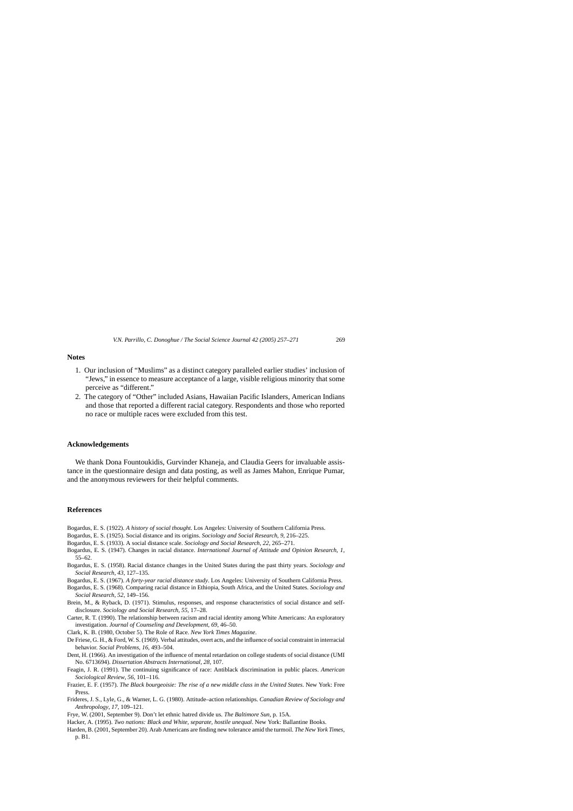#### <span id="page-13-0"></span>**Notes**

- 1. Our inclusion of "Muslims" as a distinct category paralleled earlier studies' inclusion of "Jews," in essence to measure acceptance of a large, visible religious minority that some perceive as "different."
- 2. The category of "Other" included Asians, Hawaiian Pacific Islanders, American Indians and those that reported a different racial category. Respondents and those who reported no race or multiple races were excluded from this test.

#### **Acknowledgements**

We thank Dona Fountoukidis, Gurvinder Khaneja, and Claudia Geers for invaluable assistance in the questionnaire design and data posting, as well as James Mahon, Enrique Pumar, and the anonymous reviewers for their helpful comments.

#### **References**

- Bogardus, E. S. (1922). *A history of social thought*. Los Angeles: University of Southern California Press.
- Bogardus, E. S. (1925). Social distance and its origins. *Sociology and Social Research*, *9*, 216–225.
- Bogardus, E. S. (1933). A social distance scale. *Sociology and Social Research*, *22*, 265–271.
- Bogardus, E. S. (1947). Changes in racial distance. *International Journal of Attitude and Opinion Research*, *1*, 55–62.
- Bogardus, E. S. (1958). Racial distance changes in the United States during the past thirty years. *Sociology and Social Research*, *43*, 127–135.
- Bogardus, E. S. (1967). *A forty-year racial distance study*. Los Angeles: University of Southern California Press.
- Bogardus, E. S. (1968). Comparing racial distance in Ethiopia, South Africa, and the United States. *Sociology and Social Research*, *52*, 149–156.
- Brein, M., & Ryback, D. (1971). Stimulus, responses, and response characteristics of social distance and selfdisclosure. *Sociology and Social Research*, *55*, 17–28.
- Carter, R. T. (1990). The relationship between racism and racial identity among White Americans: An exploratory investigation. *Journal of Counseling and Development*, *69*, 46–50.
- Clark, K. B. (1980, October 5). The Role of Race. *New York Times Magazine*.
- De Friese, G. H., & Ford, W. S. (1969). Verbal attitudes, overt acts, and the influence of social constraint in interracial behavior. *Social Problems*, *16*, 493–504.
- Dent, H. (1966). An investigation of the influence of mental retardation on college students of social distance (UMI No. 6713694). *Dissertation Abstracts International, 28*, 107.
- Feagin, J. R. (1991). The continuing significance of race: Antiblack discrimination in public places. *American Sociological Review*, *56*, 101–116.

Frazier, E. F. (1957). *The Black bourgeoisie: The rise of a new middle class in the United States*. New York: Free Press.

- Frideres, J. S., Lyle, G., & Warner, L. G. (1980). Attitude–action relationships. *Canadian Review of Sociology and Anthropology*, *17*, 109–121.
- Frye, W. (2001, September 9). Don't let ethnic hatred divide us. *The Baltimore Sun*, p. 15A.
- Hacker, A. (1995). *Two nations: Black and White, separate, hostile unequal*. New York: Ballantine Books.
- Harden, B. (2001, September 20). Arab Americans are finding new tolerance amid the turmoil. *The New York Times*, p. B1.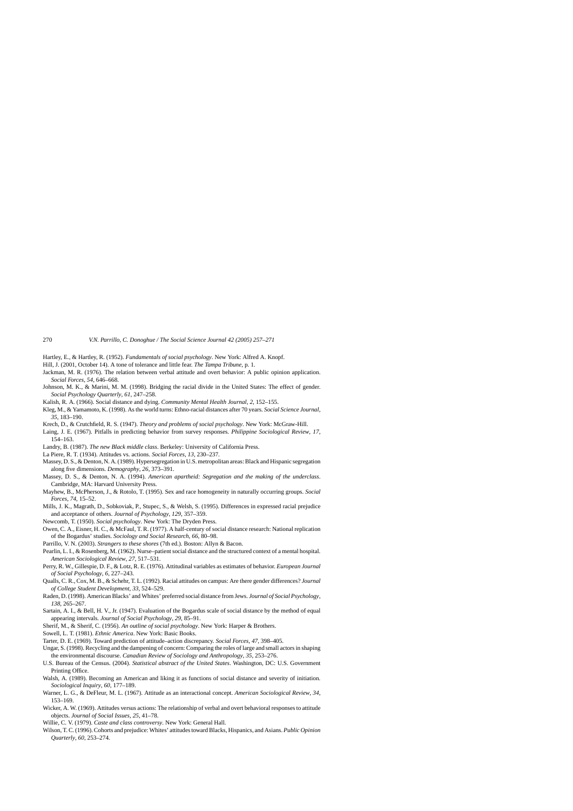- <span id="page-14-0"></span>Hartley, E., & Hartley, R. (1952). *Fundamentals of social psychology*. New York: Alfred A. Knopf.
- Hill, J. (2001, October 14). A tone of tolerance and little fear. *The Tampa Tribune*, p. 1.
- Jackman, M. R. (1976). The relation between verbal attitude and overt behavior: A public opinion application. *Social Forces*, *54*, 646–668.
- Johnson, M. K., & Marini, M. M. (1998). Bridging the racial divide in the United States: The effect of gender. *Social Psychology Quarterly*, *61*, 247–258.
- Kalish, R. A. (1966). Social distance and dying. *Community Mental Health Journal*, *2*, 152–155.
- Kleg, M., & Yamamoto, K. (1998). As the world turns: Ethno-racial distances after 70 years. *Social Science Journal*, *35*, 183–190.
- Krech, D., & Crutchfield, R. S. (1947). *Theory and problems of social psychology*. New York: McGraw-Hill.
- Laing, J. E. (1967). Pitfalls in predicting behavior from survey responses. *Philippine Sociological Review*, *17*, 154–163.
- Landry, B. (1987). *The new Black middle class*. Berkeley: University of California Press.
- La Piere, R. T. (1934). Attitudes vs. actions. *Social Forces*, *13*, 230–237.
- Massey, D. S., & Denton, N. A. (1989). Hypersegregation in U.S. metropolitan areas: Black and Hispanic segregation along five dimensions. *Demography*, *26*, 373–391.
- Massey, D. S., & Denton, N. A. (1994). *American apartheid: Segregation and the making of the underclass*. Cambridge, MA: Harvard University Press.
- Mayhew, B., McPherson, J., & Rotolo, T. (1995). Sex and race homogeneity in naturally occurring groups. *Social Forces*, *74*, 15–52.
- Mills, J. K., Magrath, D., Sobkoviak, P., Stupec, S., & Welsh, S. (1995). Differences in expressed racial prejudice and acceptance of others. *Journal of Psychology*, *129*, 357–359.
- Newcomb, T. (1950). *Social psychology*. New York: The Dryden Press.
- Owen, C. A., Eisner, H. C., & McFaul, T. R. (1977). A half-century of social distance research: National replication of the Bogardus' studies. *Sociology and Social Research*, *66*, 80–98.
- Parrillo, V. N. (2003). *Strangers to these shores* (7th ed.). Boston: Allyn & Bacon.
- Pearlin, L. I., & Rosenberg, M. (1962). Nurse–patient social distance and the structured context of a mental hospital. *American Sociological Review*, *27*, 517–531.
- Perry, R. W., Gillespie, D. F., & Lotz, R. E. (1976). Attitudinal variables as estimates of behavior. *European Journal of Social Psychology*, *6*, 227–243.
- Qualls, C. R., Cox, M. B., & Schehr, T. L. (1992). Racial attitudes on campus: Are there gender differences? *Journal of College Student Development*, *33*, 524–529.
- Raden, D. (1998). American Blacks' and Whites' preferred social distance from Jews. *Journal of Social Psychology*, *138*, 265–267.
- Sartain, A. I., & Bell, H. V., Jr. (1947). Evaluation of the Bogardus scale of social distance by the method of equal appearing intervals. *Journal of Social Psychology*, *29*, 85–91.
- Sherif, M., & Sherif, C. (1956). *An outline of social psychology*. New York: Harper & Brothers.
- Sowell, L. T. (1981). *Ethnic America*. New York: Basic Books.
- Tarter, D. E. (1969). Toward prediction of attitude–action discrepancy. *Social Forces*, *47*, 398–405.
- Ungar, S. (1998). Recycling and the dampening of concern: Comparing the roles of large and small actors in shaping the environmental discourse. *Canadian Review of Sociology and Anthropology*, *35*, 253–276.
- U.S. Bureau of the Census. (2004). *Statistical abstract of the United States*. Washington, DC: U.S. Government Printing Office.
- Walsh, A. (1989). Becoming an American and liking it as functions of social distance and severity of initiation. *Sociological Inquiry*, *60*, 177–189.
- Warner, L. G., & DeFleur, M. L. (1967). Attitude as an interactional concept. *American Sociological Review*, *34*, 153–169.
- Wicker, A. W. (1969). Attitudes versus actions: The relationship of verbal and overt behavioral responses to attitude objects. *Journal of Social Issues*, *25*, 41–78.
- Willie, C. V. (1979). *Caste and class controversy*. New York: General Hall.
- Wilson, T. C. (1996). Cohorts and prejudice: Whites' attitudes toward Blacks, Hispanics, and Asians. *Public Opinion Quarterly*, *60*, 253–274.